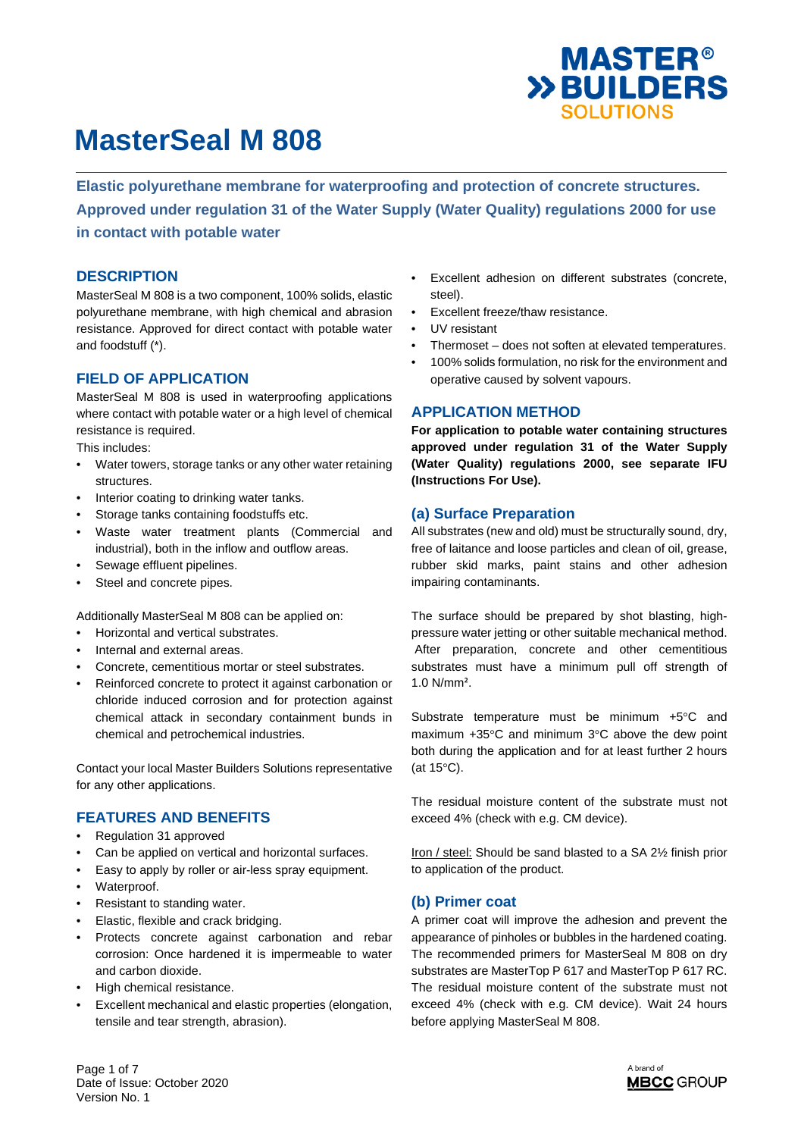

**Elastic polyurethane membrane for waterproofing and protection of concrete structures. Approved under regulation 31 of the Water Supply (Water Quality) regulations 2000 for use in contact with potable water** 

#### **DESCRIPTION**

MasterSeal M 808 is a two component, 100% solids, elastic polyurethane membrane, with high chemical and abrasion resistance. Approved for direct contact with potable water and foodstuff (\*).

#### **FIELD OF APPLICATION**

MasterSeal M 808 is used in waterproofing applications where contact with potable water or a high level of chemical resistance is required.

This includes:

- Water towers, storage tanks or any other water retaining structures.
- Interior coating to drinking water tanks.
- Storage tanks containing foodstuffs etc.
- Waste water treatment plants (Commercial and industrial), both in the inflow and outflow areas.
- Sewage effluent pipelines.
- Steel and concrete pipes.

Additionally MasterSeal M 808 can be applied on:

- Horizontal and vertical substrates.
- Internal and external areas.
- Concrete, cementitious mortar or steel substrates.
- Reinforced concrete to protect it against carbonation or chloride induced corrosion and for protection against chemical attack in secondary containment bunds in chemical and petrochemical industries.

Contact your local Master Builders Solutions representative for any other applications.

### **FEATURES AND BENEFITS**

- Regulation 31 approved
- Can be applied on vertical and horizontal surfaces.
- Easy to apply by roller or air-less spray equipment.
- Waterproof.
- Resistant to standing water.
- Elastic, flexible and crack bridging.
- Protects concrete against carbonation and rebar corrosion: Once hardened it is impermeable to water and carbon dioxide.
- High chemical resistance.
- Excellent mechanical and elastic properties (elongation, tensile and tear strength, abrasion).
- Excellent adhesion on different substrates (concrete, steel).
- Excellent freeze/thaw resistance.
- UV resistant
- Thermoset does not soften at elevated temperatures.
- 100% solids formulation, no risk for the environment and operative caused by solvent vapours.

### **APPLICATION METHOD**

**For application to potable water containing structures approved under regulation 31 of the Water Supply (Water Quality) regulations 2000, see separate IFU (Instructions For Use).** 

#### **(a) Surface Preparation**

All substrates (new and old) must be structurally sound, dry, free of laitance and loose particles and clean of oil, grease, rubber skid marks, paint stains and other adhesion impairing contaminants.

The surface should be prepared by shot blasting, highpressure water jetting or other suitable mechanical method. After preparation, concrete and other cementitious substrates must have a minimum pull off strength of 1.0 N/mm².

Substrate temperature must be minimum +5°C and maximum +35°C and minimum 3°C above the dew point both during the application and for at least further 2 hours (at 15°C).

The residual moisture content of the substrate must not exceed 4% (check with e.g. CM device).

Iron / steel: Should be sand blasted to a SA 2½ finish prior to application of the product.

### **(b) Primer coat**

A primer coat will improve the adhesion and prevent the appearance of pinholes or bubbles in the hardened coating. The recommended primers for MasterSeal M 808 on dry substrates are MasterTop P 617 and MasterTop P 617 RC. The residual moisture content of the substrate must not exceed 4% (check with e.g. CM device). Wait 24 hours before applying MasterSeal M 808.

Page 1 of 7 Date of Issue: October 2020 Version No. 1

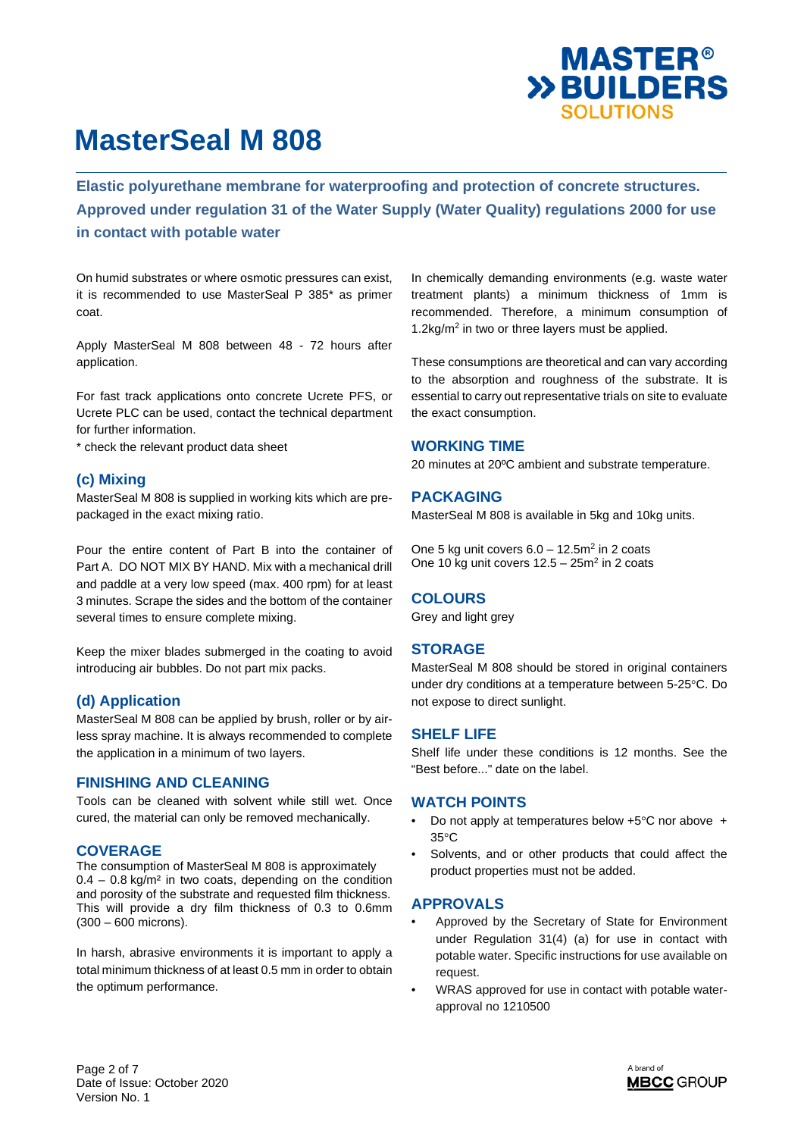

**Elastic polyurethane membrane for waterproofing and protection of concrete structures. Approved under regulation 31 of the Water Supply (Water Quality) regulations 2000 for use in contact with potable water** 

On humid substrates or where osmotic pressures can exist, it is recommended to use MasterSeal P 385\* as primer coat.

Apply MasterSeal M 808 between 48 - 72 hours after application.

For fast track applications onto concrete Ucrete PFS, or Ucrete PLC can be used, contact the technical department for further information.

\* check the relevant product data sheet

### **(c) Mixing**

MasterSeal M 808 is supplied in working kits which are prepackaged in the exact mixing ratio.

Pour the entire content of Part B into the container of Part A. DO NOT MIX BY HAND. Mix with a mechanical drill and paddle at a very low speed (max. 400 rpm) for at least 3 minutes. Scrape the sides and the bottom of the container several times to ensure complete mixing.

Keep the mixer blades submerged in the coating to avoid introducing air bubbles. Do not part mix packs.

### **(d) Application**

MasterSeal M 808 can be applied by brush, roller or by airless spray machine. It is always recommended to complete the application in a minimum of two layers.

#### **FINISHING AND CLEANING**

Tools can be cleaned with solvent while still wet. Once cured, the material can only be removed mechanically.

#### **COVERAGE**

The consumption of MasterSeal M 808 is approximately  $0.4 - 0.8$  kg/m<sup>2</sup> in two coats, depending on the condition and porosity of the substrate and requested film thickness. This will provide a dry film thickness of 0.3 to 0.6mm (300 – 600 microns).

In harsh, abrasive environments it is important to apply a total minimum thickness of at least 0.5 mm in order to obtain the optimum performance.

In chemically demanding environments (e.g. waste water treatment plants) a minimum thickness of 1mm is recommended. Therefore, a minimum consumption of 1.2kg/m<sup>2</sup> in two or three layers must be applied.

These consumptions are theoretical and can vary according to the absorption and roughness of the substrate. It is essential to carry out representative trials on site to evaluate the exact consumption.

#### **WORKING TIME**

20 minutes at 20ºC ambient and substrate temperature.

#### **PACKAGING**

MasterSeal M 808 is available in 5kg and 10kg units.

One 5 kg unit covers  $6.0 - 12.5m<sup>2</sup>$  in 2 coats One 10 kg unit covers  $12.5 - 25m^2$  in 2 coats

### **COLOURS**

Grey and light grey

#### **STORAGE**

MasterSeal M 808 should be stored in original containers under dry conditions at a temperature between 5-25°C. Do not expose to direct sunlight.

#### **SHELF LIFE**

Shelf life under these conditions is 12 months. See the "Best before..." date on the label.

#### **WATCH POINTS**

- Do not apply at temperatures below +5°C nor above + 35°C
- Solvents, and or other products that could affect the product properties must not be added.

#### **APPROVALS**

- Approved by the Secretary of State for Environment under Regulation 31(4) (a) for use in contact with potable water. Specific instructions for use available on request.
- WRAS approved for use in contact with potable waterapproval no 1210500

Page 2 of 7 Date of Issue: October 2020 Version No. 1

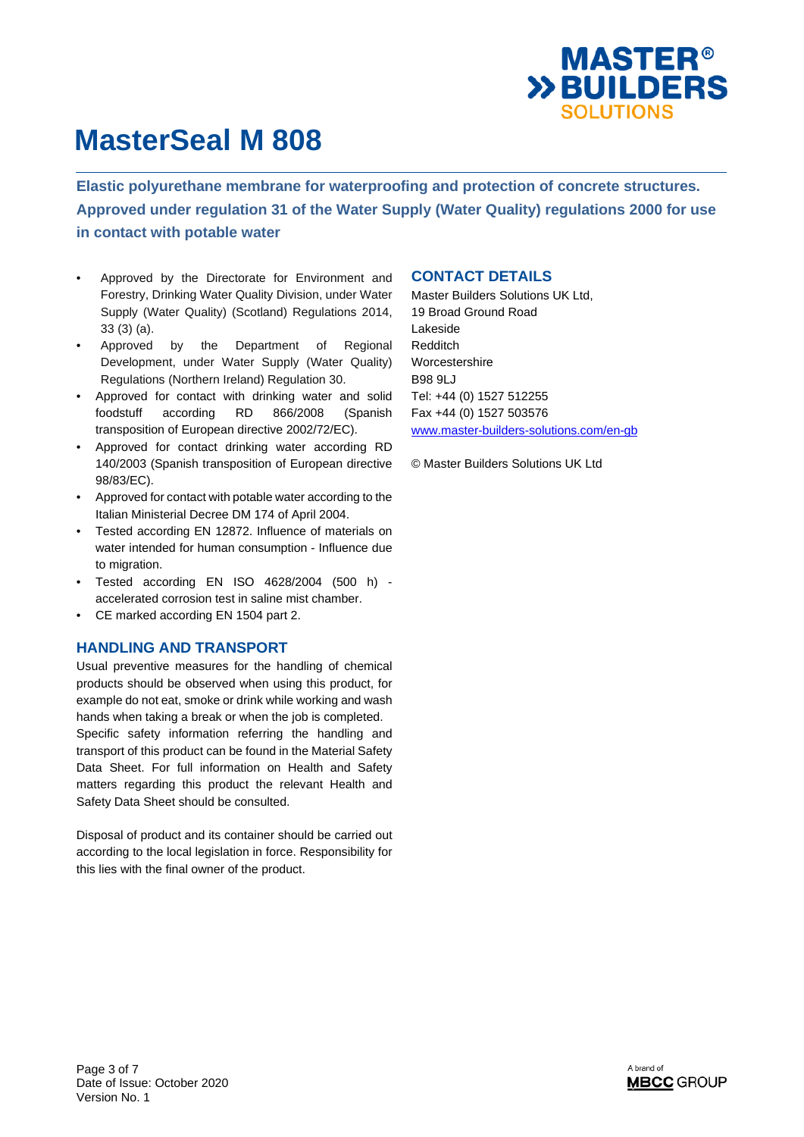

**Elastic polyurethane membrane for waterproofing and protection of concrete structures. Approved under regulation 31 of the Water Supply (Water Quality) regulations 2000 for use in contact with potable water** 

- Approved by the Directorate for Environment and Forestry, Drinking Water Quality Division, under Water Supply (Water Quality) (Scotland) Regulations 2014, 33 (3) (a).
- Approved by the Department of Regional Development, under Water Supply (Water Quality) Regulations (Northern Ireland) Regulation 30.
- Approved for contact with drinking water and solid foodstuff according RD 866/2008 (Spanish transposition of European directive 2002/72/EC).
- Approved for contact drinking water according RD 140/2003 (Spanish transposition of European directive 98/83/EC).
- Approved for contact with potable water according to the Italian Ministerial Decree DM 174 of April 2004.
- Tested according EN 12872. Influence of materials on water intended for human consumption - Influence due to migration.
- Tested according EN ISO 4628/2004 (500 h) accelerated corrosion test in saline mist chamber.
- CE marked according EN 1504 part 2.

### **HANDLING AND TRANSPORT**

Usual preventive measures for the handling of chemical products should be observed when using this product, for example do not eat, smoke or drink while working and wash hands when taking a break or when the job is completed. Specific safety information referring the handling and transport of this product can be found in the Material Safety Data Sheet. For full information on Health and Safety matters regarding this product the relevant Health and Safety Data Sheet should be consulted.

Disposal of product and its container should be carried out according to the local legislation in force. Responsibility for this lies with the final owner of the product.

#### **CONTACT DETAILS**

Master Builders Solutions UK Ltd, 19 Broad Ground Road Lakeside Redditch Worcestershire B98 9LJ Tel: +44 (0) 1527 512255 Fax +44 (0) 1527 503576 www.master-builders-solutions.com/en-gb

© Master Builders Solutions UK Ltd

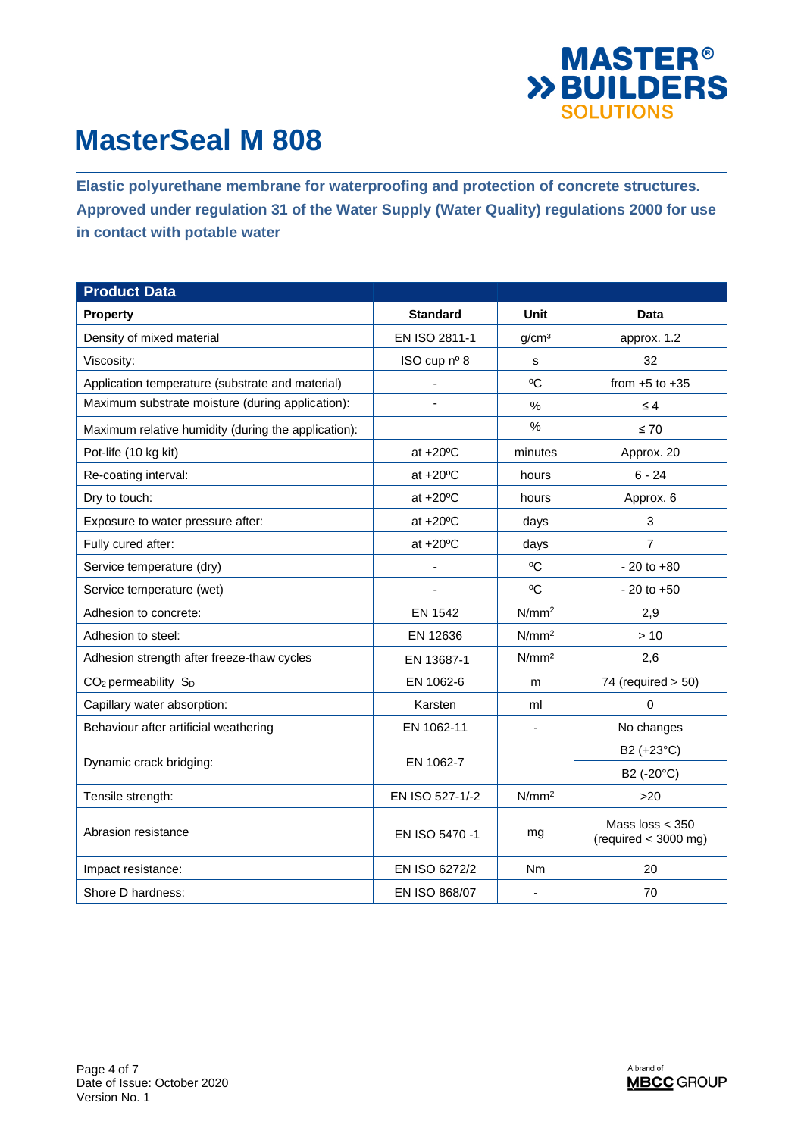

**Elastic polyurethane membrane for waterproofing and protection of concrete structures. Approved under regulation 31 of the Water Supply (Water Quality) regulations 2000 for use in contact with potable water** 

| <b>Product Data</b>                                 |                    |                   |                                                    |
|-----------------------------------------------------|--------------------|-------------------|----------------------------------------------------|
| <b>Property</b>                                     | <b>Standard</b>    | Unit              | <b>Data</b>                                        |
| Density of mixed material                           | EN ISO 2811-1      | g/cm <sup>3</sup> | approx. 1.2                                        |
| Viscosity:                                          | ISO cup nº 8       | s                 | 32                                                 |
| Application temperature (substrate and material)    | ÷,                 | $^{\circ}C$       | from $+5$ to $+35$                                 |
| Maximum substrate moisture (during application):    |                    | %                 | $\leq 4$                                           |
| Maximum relative humidity (during the application): |                    | $\%$              | $\leq 70$                                          |
| Pot-life (10 kg kit)                                | at $+20^{\circ}$ C | minutes           | Approx. 20                                         |
| Re-coating interval:                                | at $+20^{\circ}$ C | hours             | $6 - 24$                                           |
| Dry to touch:                                       | at $+20^{\circ}$ C | hours             | Approx. 6                                          |
| Exposure to water pressure after:                   | at $+20^{\circ}$ C | days              | 3                                                  |
| Fully cured after:                                  | at $+20^{\circ}$ C | days              | $\overline{7}$                                     |
| Service temperature (dry)                           |                    | $^{\circ}C$       | $-20$ to $+80$                                     |
| Service temperature (wet)                           |                    | °C                | $-20$ to $+50$                                     |
| Adhesion to concrete:                               | <b>EN 1542</b>     | N/mm <sup>2</sup> | 2,9                                                |
| Adhesion to steel:                                  | EN 12636           | N/mm <sup>2</sup> | >10                                                |
| Adhesion strength after freeze-thaw cycles          | EN 13687-1         | N/mm <sup>2</sup> | 2.6                                                |
| CO <sub>2</sub> permeability S <sub>D</sub>         | EN 1062-6          | m                 | 74 (required $> 50$ )                              |
| Capillary water absorption:                         | Karsten            | ml                | 0                                                  |
| Behaviour after artificial weathering               | EN 1062-11         |                   | No changes                                         |
| Dynamic crack bridging:                             | EN 1062-7          |                   | B2 (+23°C)                                         |
|                                                     |                    |                   | B2 (-20°C)                                         |
| Tensile strength:                                   | EN ISO 527-1/-2    | N/mm <sup>2</sup> | $>20$                                              |
| Abrasion resistance                                 | EN ISO 5470 -1     | mg                | Mass $loss < 350$<br>$^{\rm (required}$ < 3000 mg) |
| Impact resistance:                                  | EN ISO 6272/2      | Nm                | 20                                                 |
| Shore D hardness:                                   | EN ISO 868/07      | Ξ.                | 70                                                 |

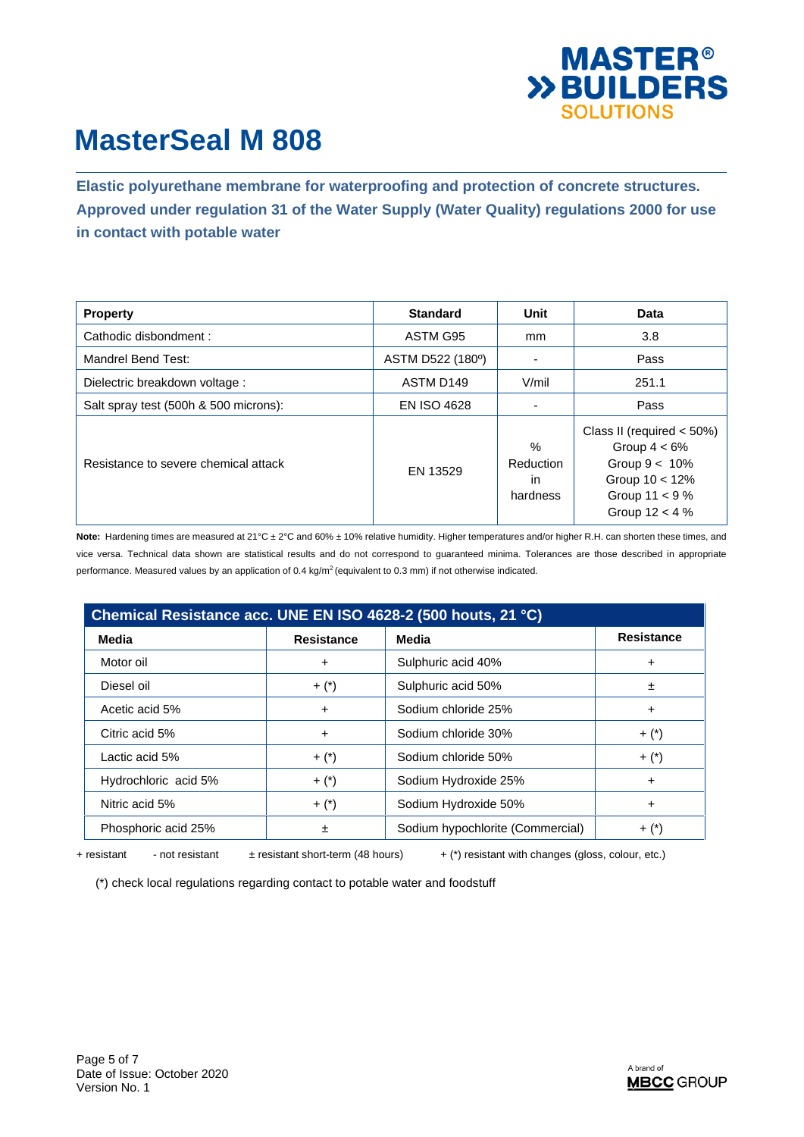

**Elastic polyurethane membrane for waterproofing and protection of concrete structures. Approved under regulation 31 of the Water Supply (Water Quality) regulations 2000 for use in contact with potable water** 

| <b>Property</b>                       | <b>Standard</b>    | Unit                                | Data                                                                                                                              |
|---------------------------------------|--------------------|-------------------------------------|-----------------------------------------------------------------------------------------------------------------------------------|
| Cathodic disbondment:                 | ASTM G95           | mm                                  | 3.8                                                                                                                               |
| Mandrel Bend Test:                    | ASTM D522 (180°)   | ۰                                   | Pass                                                                                                                              |
| Dielectric breakdown voltage:         | ASTM D149          | V/mil                               | 251.1                                                                                                                             |
| Salt spray test (500h & 500 microns): | <b>EN ISO 4628</b> |                                     | Pass                                                                                                                              |
| Resistance to severe chemical attack  | EN 13529           | $\%$<br>Reduction<br>in<br>hardness | Class II (required $<$ 50%)<br>Group $4 < 6\%$<br>Group $9 < 10\%$<br>Group $10 < 12\%$<br>Group $11 < 9 \%$<br>Group $12 < 4 \%$ |

**Note:** Hardening times are measured at 21°C ± 2°C and 60% ± 10% relative humidity. Higher temperatures and/or higher R.H. can shorten these times, and vice versa. Technical data shown are statistical results and do not correspond to guaranteed minima. Tolerances are those described in appropriate performance. Measured values by an application of 0.4 kg/m<sup>2</sup> (equivalent to 0.3 mm) if not otherwise indicated.

| Chemical Resistance acc. UNE EN ISO 4628-2 (500 houts, 21 °C) |                   |                                  |                   |  |  |
|---------------------------------------------------------------|-------------------|----------------------------------|-------------------|--|--|
| Media                                                         | <b>Resistance</b> | Media                            | <b>Resistance</b> |  |  |
| Motor oil                                                     | +                 | Sulphuric acid 40%               | ٠                 |  |  |
| Diesel oil                                                    | $+$ $(*)$         | Sulphuric acid 50%               | 土                 |  |  |
| Acetic acid 5%                                                | +                 | Sodium chloride 25%              | ٠                 |  |  |
| Citric acid 5%                                                | +                 | Sodium chloride 30%              | $+$ $(*)$         |  |  |
| Lactic acid 5%                                                | $+$ $(*)$         | Sodium chloride 50%              | $+$ $(*)$         |  |  |
| Hydrochloric acid 5%                                          | $+$ $(*)$         | Sodium Hydroxide 25%             | $\ddot{}$         |  |  |
| Nitric acid 5%                                                | $+$ $(*)$         | Sodium Hydroxide 50%             | $\ddot{}$         |  |  |
| Phosphoric acid 25%                                           | 土                 | Sodium hypochlorite (Commercial) | $+$ $(*)$         |  |  |

+ resistant - not resistant  $\pm$  resistant short-term (48 hours) + (\*) resistant with changes (gloss, colour, etc.)

(\*) check local regulations regarding contact to potable water and foodstuff

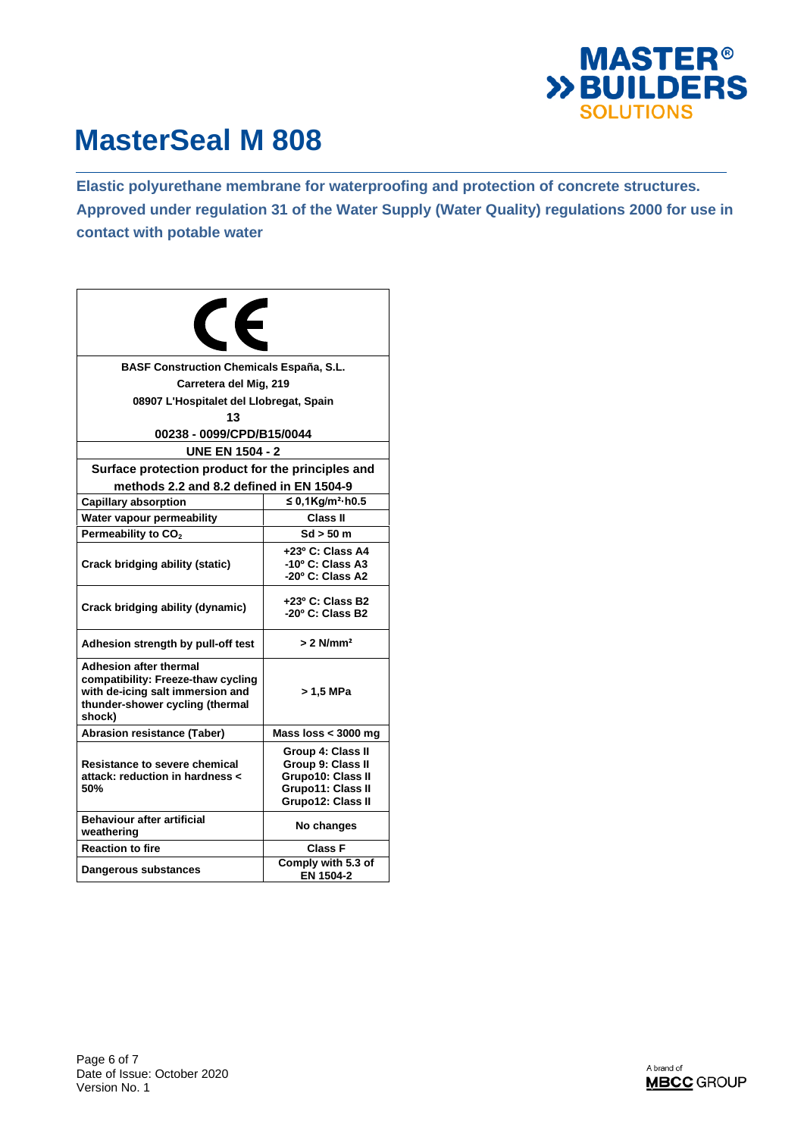

**Elastic polyurethane membrane for waterproofing and protection of concrete structures. Approved under regulation 31 of the Water Supply (Water Quality) regulations 2000 for use in contact with potable water** 

| <b>CE</b>                                                                                                                                            |                                                                                                       |  |  |  |  |
|------------------------------------------------------------------------------------------------------------------------------------------------------|-------------------------------------------------------------------------------------------------------|--|--|--|--|
| <b>BASF Construction Chemicals España, S.L.</b>                                                                                                      |                                                                                                       |  |  |  |  |
| Carretera del Mig, 219                                                                                                                               |                                                                                                       |  |  |  |  |
| 08907 L'Hospitalet del Llobregat, Spain                                                                                                              |                                                                                                       |  |  |  |  |
| 13                                                                                                                                                   |                                                                                                       |  |  |  |  |
| 00238 - 0099/CPD/B15/0044                                                                                                                            |                                                                                                       |  |  |  |  |
| <b>UNE EN 1504 - 2</b>                                                                                                                               |                                                                                                       |  |  |  |  |
| Surface protection product for the principles and                                                                                                    |                                                                                                       |  |  |  |  |
| methods 2.2 and 8.2 defined in EN 1504-9                                                                                                             |                                                                                                       |  |  |  |  |
| <b>Capillary absorption</b>                                                                                                                          | ≤ 0,1Kg/m <sup>2</sup> ·h0.5                                                                          |  |  |  |  |
| Water vapour permeability                                                                                                                            | Class II                                                                                              |  |  |  |  |
| Permeability to CO <sub>2</sub>                                                                                                                      | $Sd > 50$ m                                                                                           |  |  |  |  |
| Crack bridging ability (static)                                                                                                                      | +23º C: Class A4<br>-10° C: Class A3<br>-20° C: Class A2                                              |  |  |  |  |
| Crack bridging ability (dynamic)                                                                                                                     | +23º C: Class B2<br>-20° C: Class B2                                                                  |  |  |  |  |
| Adhesion strength by pull-off test                                                                                                                   | $> 2$ N/mm <sup>2</sup>                                                                               |  |  |  |  |
| <b>Adhesion after thermal</b><br>compatibility: Freeze-thaw cycling<br>with de-icing salt immersion and<br>thunder-shower cycling (thermal<br>shock) | > 1.5 MPa                                                                                             |  |  |  |  |
| <b>Abrasion resistance (Taber)</b>                                                                                                                   | Mass loss $<$ 3000 mg                                                                                 |  |  |  |  |
| Resistance to severe chemical<br>attack: reduction in hardness <<br>50%                                                                              | Group 4: Class II<br>Group 9: Class II<br>Grupo10: Class II<br>Grupo11: Class II<br>Grupo12: Class II |  |  |  |  |
| <b>Behaviour after artificial</b><br>weathering                                                                                                      | No changes                                                                                            |  |  |  |  |
| <b>Reaction to fire</b>                                                                                                                              | Class F                                                                                               |  |  |  |  |
| Dangerous substances                                                                                                                                 | Comply with 5.3 of<br>EN 1504-2                                                                       |  |  |  |  |